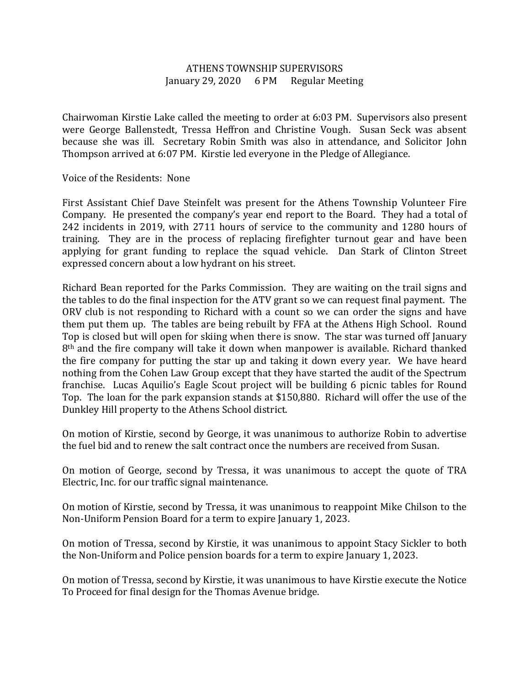## ATHENS TOWNSHIP SUPERVISORS January 29, 2020 6 PM Regular Meeting

Chairwoman Kirstie Lake called the meeting to order at 6:03 PM. Supervisors also present were George Ballenstedt, Tressa Heffron and Christine Vough. Susan Seck was absent because she was ill. Secretary Robin Smith was also in attendance, and Solicitor John Thompson arrived at 6:07 PM. Kirstie led everyone in the Pledge of Allegiance.

## Voice of the Residents: None

First Assistant Chief Dave Steinfelt was present for the Athens Township Volunteer Fire Company. He presented the company's year end report to the Board. They had a total of 242 incidents in 2019, with 2711 hours of service to the community and 1280 hours of training. They are in the process of replacing firefighter turnout gear and have been applying for grant funding to replace the squad vehicle. Dan Stark of Clinton Street expressed concern about a low hydrant on his street.

Richard Bean reported for the Parks Commission. They are waiting on the trail signs and the tables to do the final inspection for the ATV grant so we can request final payment. The ORV club is not responding to Richard with a count so we can order the signs and have them put them up. The tables are being rebuilt by FFA at the Athens High School. Round Top is closed but will open for skiing when there is snow. The star was turned off January 8th and the fire company will take it down when manpower is available. Richard thanked the fire company for putting the star up and taking it down every year. We have heard nothing from the Cohen Law Group except that they have started the audit of the Spectrum franchise. Lucas Aquilio's Eagle Scout project will be building 6 picnic tables for Round Top. The loan for the park expansion stands at \$150,880. Richard will offer the use of the Dunkley Hill property to the Athens School district.

On motion of Kirstie, second by George, it was unanimous to authorize Robin to advertise the fuel bid and to renew the salt contract once the numbers are received from Susan.

On motion of George, second by Tressa, it was unanimous to accept the quote of TRA Electric, Inc. for our traffic signal maintenance.

On motion of Kirstie, second by Tressa, it was unanimous to reappoint Mike Chilson to the Non-Uniform Pension Board for a term to expire January 1, 2023.

On motion of Tressa, second by Kirstie, it was unanimous to appoint Stacy Sickler to both the Non-Uniform and Police pension boards for a term to expire January 1, 2023.

On motion of Tressa, second by Kirstie, it was unanimous to have Kirstie execute the Notice To Proceed for final design for the Thomas Avenue bridge.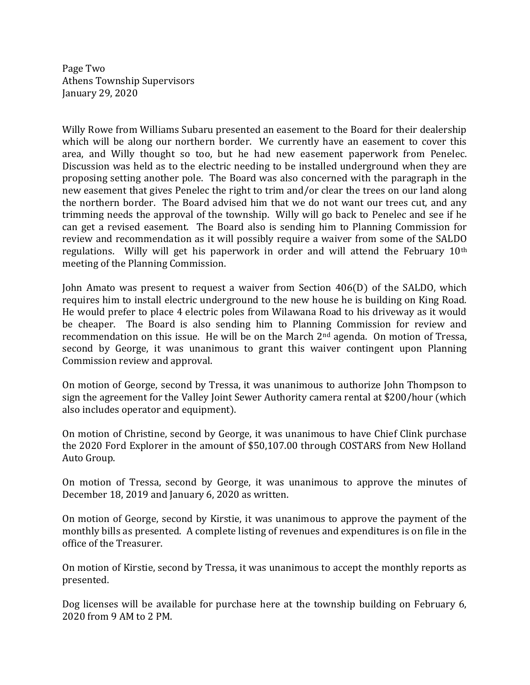Page Two Athens Township Supervisors January 29, 2020

Willy Rowe from Williams Subaru presented an easement to the Board for their dealership which will be along our northern border. We currently have an easement to cover this area, and Willy thought so too, but he had new easement paperwork from Penelec. Discussion was held as to the electric needing to be installed underground when they are proposing setting another pole. The Board was also concerned with the paragraph in the new easement that gives Penelec the right to trim and/or clear the trees on our land along the northern border. The Board advised him that we do not want our trees cut, and any trimming needs the approval of the township. Willy will go back to Penelec and see if he can get a revised easement. The Board also is sending him to Planning Commission for review and recommendation as it will possibly require a waiver from some of the SALDO regulations. Willy will get his paperwork in order and will attend the February 10th meeting of the Planning Commission.

John Amato was present to request a waiver from Section 406(D) of the SALDO, which requires him to install electric underground to the new house he is building on King Road. He would prefer to place 4 electric poles from Wilawana Road to his driveway as it would be cheaper. The Board is also sending him to Planning Commission for review and recommendation on this issue. He will be on the March 2nd agenda. On motion of Tressa, second by George, it was unanimous to grant this waiver contingent upon Planning Commission review and approval.

On motion of George, second by Tressa, it was unanimous to authorize John Thompson to sign the agreement for the Valley Joint Sewer Authority camera rental at \$200/hour (which also includes operator and equipment).

On motion of Christine, second by George, it was unanimous to have Chief Clink purchase the 2020 Ford Explorer in the amount of \$50,107.00 through COSTARS from New Holland Auto Group.

On motion of Tressa, second by George, it was unanimous to approve the minutes of December 18, 2019 and January 6, 2020 as written.

On motion of George, second by Kirstie, it was unanimous to approve the payment of the monthly bills as presented. A complete listing of revenues and expenditures is on file in the office of the Treasurer.

On motion of Kirstie, second by Tressa, it was unanimous to accept the monthly reports as presented.

Dog licenses will be available for purchase here at the township building on February 6, 2020 from 9 AM to 2 PM.